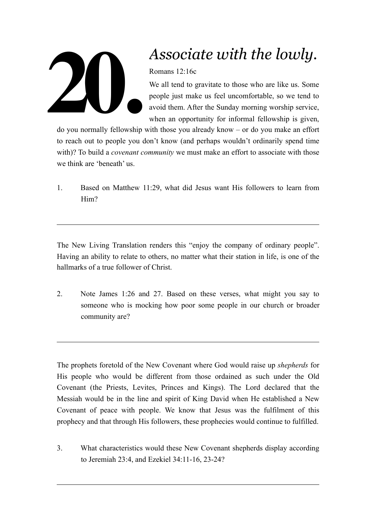

## *Associate with the lowly.*

Romans 12:16c

We all tend to gravitate to those who are like us. Some people just make us feel uncomfortable, so we tend to avoid them. After the Sunday morning worship service, when an opportunity for informal fellowship is given,

do you normally fellowship with those you already know – or do you make an effort to reach out to people you don't know (and perhaps wouldn't ordinarily spend time with)? To build a *covenant community* we must make an effort to associate with those we think are 'beneath' us.

1. Based on Matthew 11:29, what did Jesus want His followers to learn from Him?

The New Living Translation renders this "enjoy the company of ordinary people". Having an ability to relate to others, no matter what their station in life, is one of the hallmarks of a true follower of Christ.

2. Note James 1:26 and 27. Based on these verses, what might you say to someone who is mocking how poor some people in our church or broader community are?

The prophets foretold of the New Covenant where God would raise up *shepherds* for His people who would be different from those ordained as such under the Old Covenant (the Priests, Levites, Princes and Kings). The Lord declared that the Messiah would be in the line and spirit of King David when He established a New Covenant of peace with people. We know that Jesus was the fulfilment of this prophecy and that through His followers, these prophecies would continue to fulfilled.

3. What characteristics would these New Covenant shepherds display according to Jeremiah 23:4, and Ezekiel 34:11-16, 23-24?